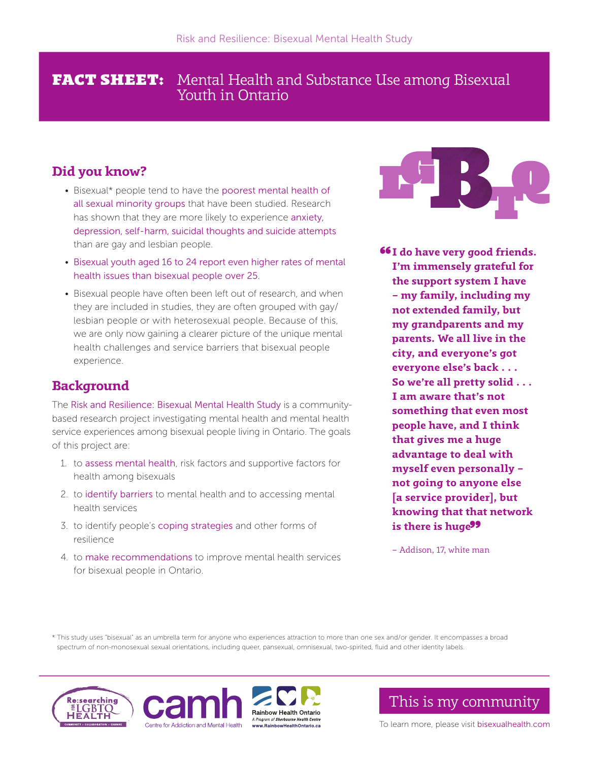## **FACT SHEET:** Mental Health and Substance Use among Bisexual Youth in Ontario

# Did you know?

- Bisexual\* people tend to have the poorest mental health of all sexual minority groups that have been studied. Research has shown that they are more likely to experience anxiety, depression, self-harm, suicidal thoughts and suicide attempts than are gay and lesbian people.
- Bisexual youth aged 16 to 24 report even higher rates of mental health issues than bisexual people over 25.
- Bisexual people have often been left out of research, and when they are included in studies, they are often grouped with gay/ lesbian people or with heterosexual people. Because of this, we are only now gaining a clearer picture of the unique mental health challenges and service barriers that bisexual people experience.

# Background

The Risk and Resilience: Bisexual Mental Health Study is a communitybased research project investigating mental health and mental health service experiences among bisexual people living in Ontario. The goals of this project are:

- 1. to assess mental health, risk factors and supportive factors for health among bisexuals
- 2. to identify barriers to mental health and to accessing mental health services
- 3. to identify people's coping strategies and other forms of resilience
- 4. to make recommendations to improve mental health services for bisexual people in Ontario.



66I do have very good friends. I'm immensely grateful for the support system I have – my family, including my not extended family, but my grandparents and my parents. We all live in the city, and everyone's got everyone else's back . . . So we're all pretty solid . . . I am aware that's not something that even most people have, and I think that gives me a huge advantage to deal with myself even personally – not going to anyone else [a service provider], but knowing that that network is there is huge<sup>99</sup>

– Addison, 17, white man

\* This study uses "bisexual" as an umbrella term for anyone who experiences attraction to more than one sex and/or gender. It encompasses a broad spectrum of non-monosexual sexual orientations, including queer, pansexual, omnisexual, two-spirited, fluid and other identity labels.







This is my community

To learn more, please visit bisexualhealth.com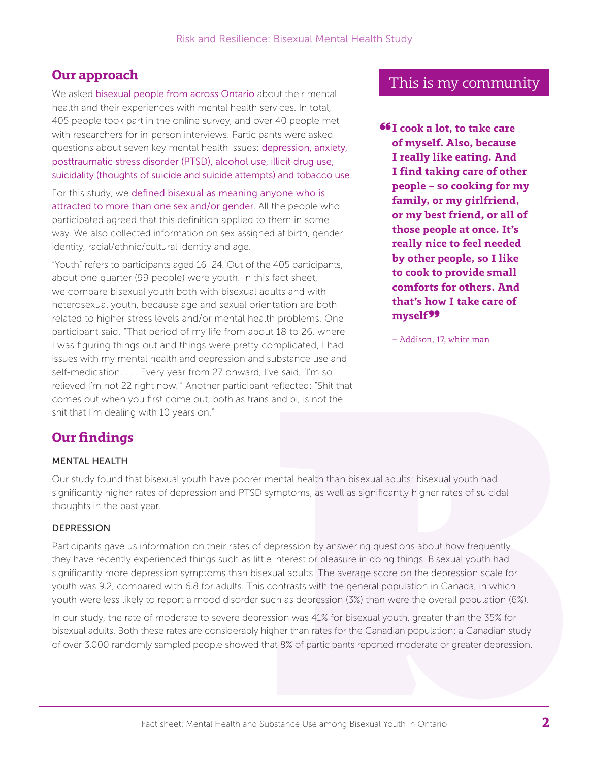## Our approach

We asked bisexual people from across Ontario about their mental health and their experiences with mental health services. In total, 405 people took part in the online survey, and over 40 people met with researchers for in-person interviews. Participants were asked questions about seven key mental health issues: depression, anxiety, posttraumatic stress disorder (PTSD), alcohol use, illicit drug use, suicidality (thoughts of suicide and suicide attempts) and tobacco use.

For this study, we defined bisexual as meaning anyone who is attracted to more than one sex and/or gender. All the people who participated agreed that this definition applied to them in some way. We also collected information on sex assigned at birth, gender identity, racial/ethnic/cultural identity and age.

"Youth" refers to participants aged 16–24. Out of the 405 participants, about one quarter (99 people) were youth. In this fact sheet, we compare bisexual youth both with bisexual adults and with heterosexual youth, because age and sexual orientation are both related to higher stress levels and/or mental health problems. One participant said, "That period of my life from about 18 to 26, where I was figuring things out and things were pretty complicated, I had issues with my mental health and depression and substance use and self-medication. . . . Every year from 27 onward, I've said, 'I'm so relieved I'm not 22 right now.'" Another participant reflected: "Shit that comes out when you first come out, both as trans and bi, is not the shit that I'm dealing with 10 years on."

## This is my community

 $6I \text{ cos } k$  a lot, to take care of myself. Also, because I really like eating. And I find taking care of other people – so cooking for my family, or my girlfriend, or my best friend, or all of those people at once. It's really nice to feel needed by other people, so I like to cook to provide small comforts for others. And that's how I take care of myself<sup>99</sup>

– Addison, 17, white man

# Our findings

### MENTAL HEALTH

Our study found that bisexual youth have poorer mental health than bisexual adults: bisexual youth had significantly higher rates of depression and PTSD symptoms, as well as significantly higher rates of suicidal thoughts in the past year.

### DEPRESSION

Participants gave us information on their rates of depression by answering questions about how frequently they have recently experienced things such as little interest or pleasure in doing things. Bisexual youth had significantly more depression symptoms than bisexual adults. The average score on the depression scale for youth was 9.2, compared with 6.8 for adults. This contrasts with the general population in Canada, in which youth were less likely to report a mood disorder such as depression (3%) than were the overall population (6%).

In our study, the rate of moderate to severe depression was 41% for bisexual youth, greater than the 35% for bisexual adults. Both these rates are considerably higher than rates for the Canadian population: a Canadian study of over 3,000 randomly sampled people showed that 8% of participants reported moderate or greater depression.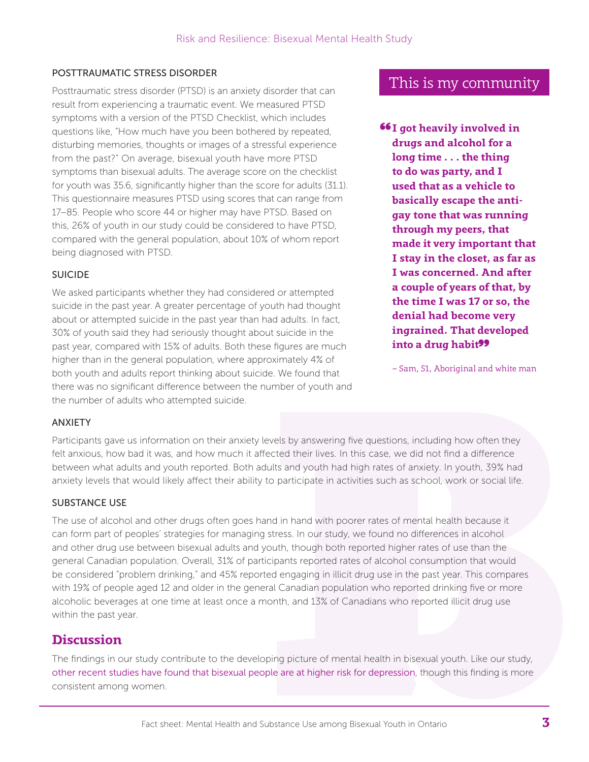### POSTTRAUMATIC STRESS DISORDER

Posttraumatic stress disorder (PTSD) is an anxiety disorder that can result from experiencing a traumatic event. We measured PTSD symptoms with a version of the PTSD Checklist, which includes questions like, "How much have you been bothered by repeated, disturbing memories, thoughts or images of a stressful experience from the past?" On average, bisexual youth have more PTSD symptoms than bisexual adults. The average score on the checklist for youth was 35.6, significantly higher than the score for adults (31.1). This questionnaire measures PTSD using scores that can range from 17–85. People who score 44 or higher may have PTSD. Based on this, 26% of youth in our study could be considered to have PTSD, compared with the general population, about 10% of whom report being diagnosed with PTSD.

#### SUICIDE

We asked participants whether they had considered or attempted suicide in the past year. A greater percentage of youth had thought about or attempted suicide in the past year than had adults. In fact, 30% of youth said they had seriously thought about suicide in the past year, compared with 15% of adults. Both these figures are much higher than in the general population, where approximately 4% of both youth and adults report thinking about suicide. We found that there was no significant diference between the number of youth and the number of adults who attempted suicide.

### This is my community

 $6I$  got heavily involved in drugs and alcohol for a long time . . . the thing to do was party, and I used that as a vehicle to basically escape the antigay tone that was running through my peers, that made it very important that I stay in the closet, as far as I was concerned. And after a couple of years of that, by the time I was 17 or so, the denial had become very ingrained. That developed into a drug habit<sup>99</sup>

– Sam, 51, Aboriginal and white man

#### ANXIETY

Participants gave us information on their anxiety levels by answering five questions, including how often they felt anxious, how bad it was, and how much it affected their lives. In this case, we did not find a difference between what adults and youth reported. Both adults and youth had high rates of anxiety. In youth, 39% had anxiety levels that would likely affect their ability to participate in activities such as school, work or social life.

### SUBSTANCE USE

The use of alcohol and other drugs often goes hand in hand with poorer rates of mental health because it can form part of peoples' strategies for managing stress. In our study, we found no diferences in alcohol and other drug use between bisexual adults and youth, though both reported higher rates of use than the general Canadian population. Overall, 31% of participants reported rates of alcohol consumption that would be considered "problem drinking," and 45% reported engaging in illicit drug use in the past year. This compares with 19% of people aged 12 and older in the general Canadian population who reported drinking five or more alcoholic beverages at one time at least once a month, and 13% of Canadians who reported illicit drug use within the past year.

### **Discussion**

The findings in our study contribute to the developing picture of mental health in bisexual youth. Like our study, other recent studies have found that bisexual people are at higher risk for depression, though this finding is more consistent among women.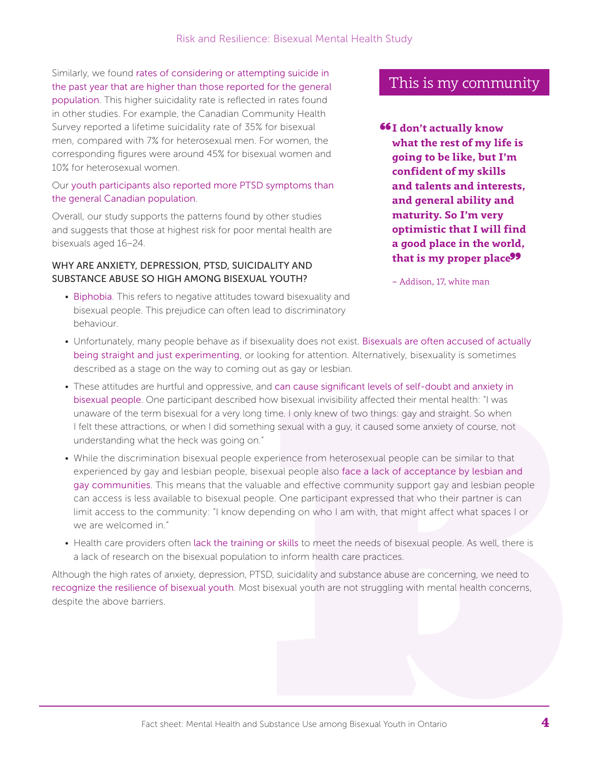Similarly, we found rates of considering or attempting suicide in the past year that are higher than those reported for the general population. This higher suicidality rate is reflected in rates found in other studies. For example, the Canadian Community Health Survey reported a lifetime suicidality rate of 35% for bisexual men, compared with 7% for heterosexual men. For women, the corresponding figures were around 45% for bisexual women and 10% for heterosexual women.

### Our youth participants also reported more PTSD symptoms than the general Canadian population.

Overall, our study supports the patterns found by other studies and suggests that those at highest risk for poor mental health are bisexuals aged 16–24.

#### WHY ARE ANXIETY, DEPRESSION, PTSD, SUICIDALITY AND SUBSTANCE ABUSE SO HIGH AMONG BISEXUAL YOUTH?

• Biphobia. This refers to negative attitudes toward bisexuality and bisexual people. This prejudice can often lead to discriminatory behaviour.

## This is my community

66I don't actually know what the rest of my life is going to be like, but I'm confident of my skills and talents and interests, and general ability and maturity. So I'm very optimistic that I will find a good place in the world, that is my proper place<sup>99</sup>

– Addison, 17, white man

- Unfortunately, many people behave as if bisexuality does not exist. Bisexuals are often accused of actually being straight and just experimenting, or looking for attention. Alternatively, bisexuality is sometimes described as a stage on the way to coming out as gay or lesbian.
- These attitudes are hurtful and oppressive, and can cause significant levels of self-doubt and anxiety in bisexual people. One participant described how bisexual invisibility afected their mental health: "I was unaware of the term bisexual for a very long time. I only knew of two things: gay and straight. So when I felt these attractions, or when I did something sexual with a guy, it caused some anxiety of course, not understanding what the heck was going on."
- While the discrimination bisexual people experience from heterosexual people can be similar to that experienced by gay and lesbian people, bisexual people also face a lack of acceptance by lesbian and gay communities. This means that the valuable and efective community support gay and lesbian people can access is less available to bisexual people. One participant expressed that who their partner is can limit access to the community: "I know depending on who I am with, that might afect what spaces I or we are welcomed in."
- Health care providers often lack the training or skills to meet the needs of bisexual people. As well, there is a lack of research on the bisexual population to inform health care practices.

Although the high rates of anxiety, depression, PTSD, suicidality and substance abuse are concerning, we need to recognize the resilience of bisexual youth. Most bisexual youth are not struggling with mental health concerns, despite the above barriers.